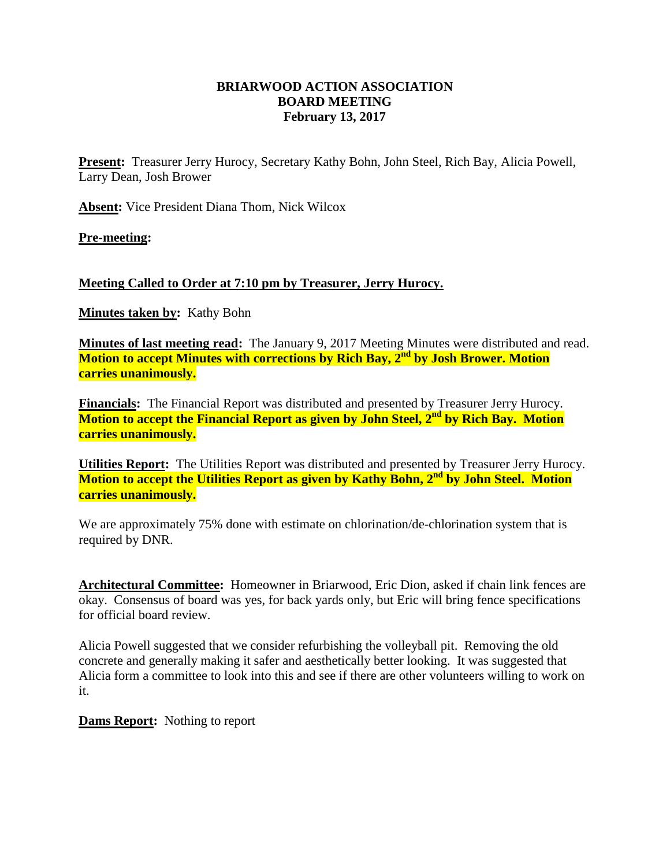## **BRIARWOOD ACTION ASSOCIATION BOARD MEETING February 13, 2017**

**Present:** Treasurer Jerry Hurocy, Secretary Kathy Bohn, John Steel, Rich Bay, Alicia Powell, Larry Dean, Josh Brower

**Absent:** Vice President Diana Thom, Nick Wilcox

**Pre-meeting:**

## **Meeting Called to Order at 7:10 pm by Treasurer, Jerry Hurocy.**

**Minutes taken by:** Kathy Bohn

**Minutes of last meeting read:** The January 9, 2017 Meeting Minutes were distributed and read. **Motion to accept Minutes with corrections by Rich Bay, 2 nd by Josh Brower. Motion carries unanimously.**

**Financials:** The Financial Report was distributed and presented by Treasurer Jerry Hurocy. **Motion to accept the Financial Report as given by John Steel, 2nd by Rich Bay. Motion carries unanimously.**

**Utilities Report:** The Utilities Report was distributed and presented by Treasurer Jerry Hurocy. **Motion to accept the Utilities Report as given by Kathy Bohn, 2nd by John Steel. Motion carries unanimously.**

We are approximately 75% done with estimate on chlorination/de-chlorination system that is required by DNR.

**Architectural Committee:** Homeowner in Briarwood, Eric Dion, asked if chain link fences are okay. Consensus of board was yes, for back yards only, but Eric will bring fence specifications for official board review.

Alicia Powell suggested that we consider refurbishing the volleyball pit. Removing the old concrete and generally making it safer and aesthetically better looking. It was suggested that Alicia form a committee to look into this and see if there are other volunteers willing to work on it.

**Dams Report:** Nothing to report